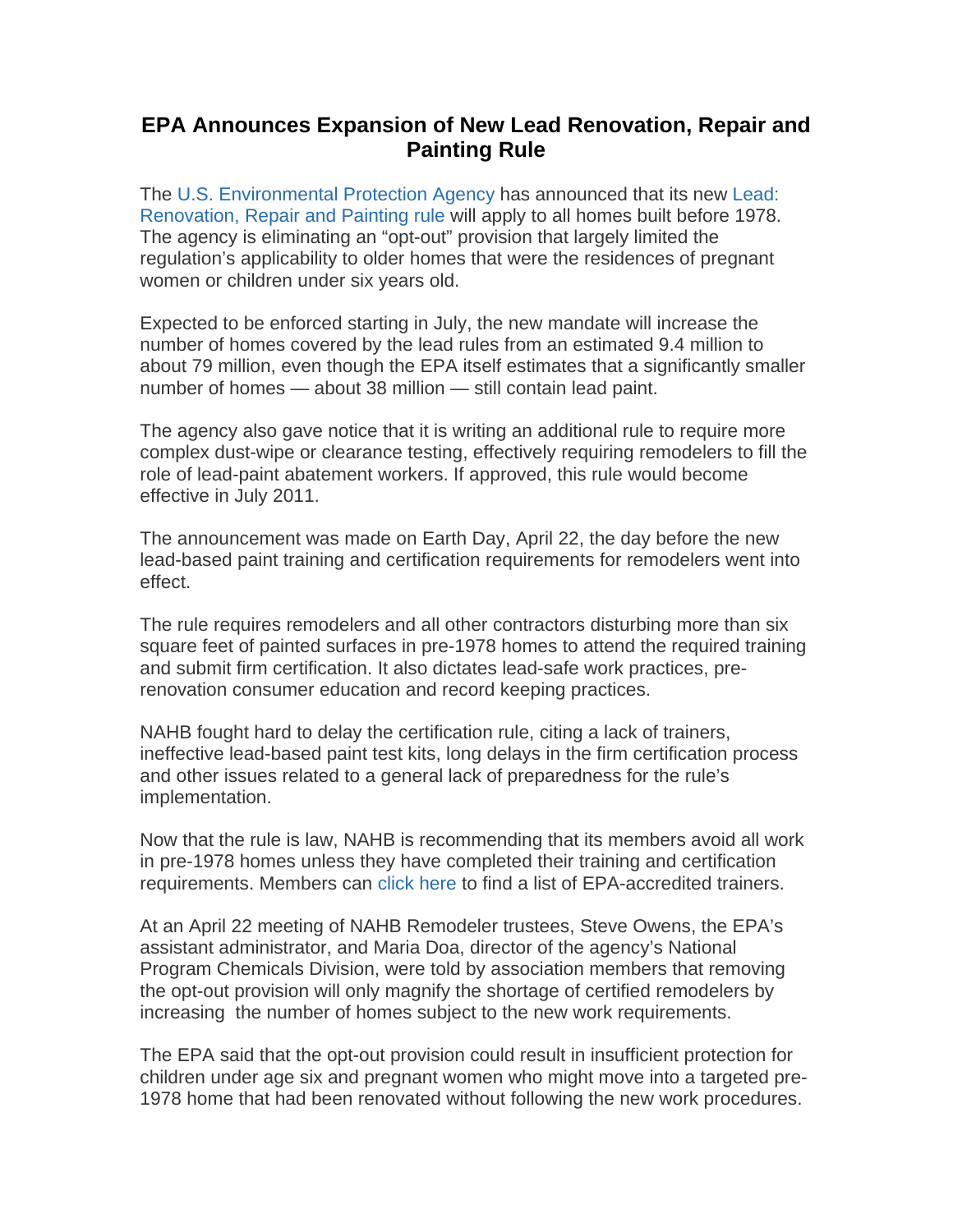## **EPA Announces Expansion of New Lead Renovation, Repair and Painting Rule**

The U.S. Environmental Protection Agency has announced that its new Lead: Renovation, Repair and Painting rule will apply to all homes built before 1978. The agency is eliminating an "opt-out" provision that largely limited the regulation's applicability to older homes that were the residences of pregnant women or children under six years old.

Expected to be enforced starting in July, the new mandate will increase the number of homes covered by the lead rules from an estimated 9.4 million to about 79 million, even though the EPA itself estimates that a significantly smaller number of homes — about 38 million — still contain lead paint.

The agency also gave notice that it is writing an additional rule to require more complex dust-wipe or clearance testing, effectively requiring remodelers to fill the role of lead-paint abatement workers. If approved, this rule would become effective in July 2011.

The announcement was made on Earth Day, April 22, the day before the new lead-based paint training and certification requirements for remodelers went into effect.

The rule requires remodelers and all other contractors disturbing more than six square feet of painted surfaces in pre-1978 homes to attend the required training and submit firm certification. It also dictates lead-safe work practices, prerenovation consumer education and record keeping practices.

NAHB fought hard to delay the certification rule, citing a lack of trainers, ineffective lead-based paint test kits, long delays in the firm certification process and other issues related to a general lack of preparedness for the rule's implementation.

Now that the rule is law, NAHB is recommending that its members avoid all work in pre-1978 homes unless they have completed their training and certification requirements. Members can click here to find a list of EPA-accredited trainers.

At an April 22 meeting of NAHB Remodeler trustees, Steve Owens, the EPA's assistant administrator, and Maria Doa, director of the agency's National Program Chemicals Division, were told by association members that removing the opt-out provision will only magnify the shortage of certified remodelers by increasing the number of homes subject to the new work requirements.

The EPA said that the opt-out provision could result in insufficient protection for children under age six and pregnant women who might move into a targeted pre-1978 home that had been renovated without following the new work procedures.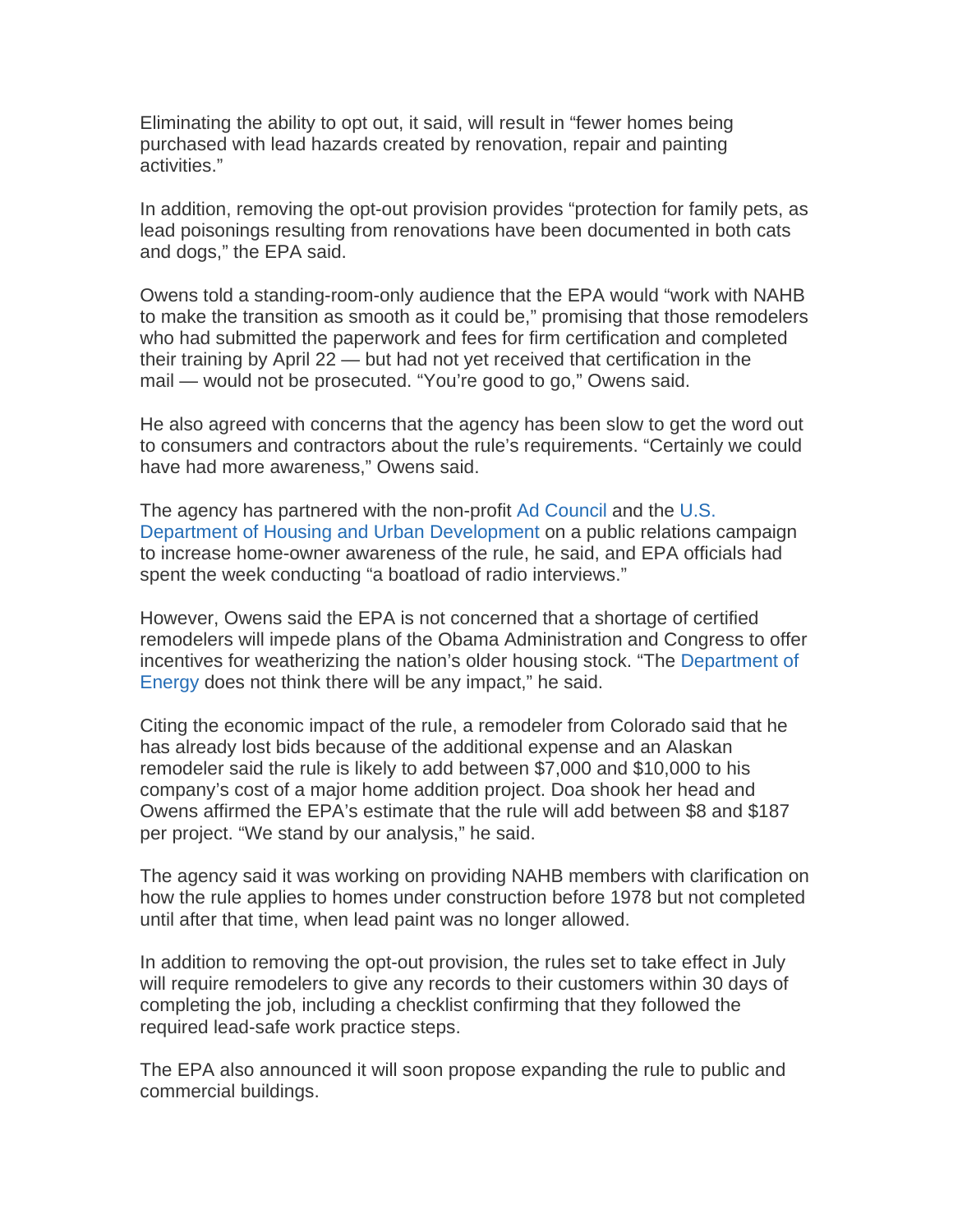Eliminating the ability to opt out, it said, will result in "fewer homes being purchased with lead hazards created by renovation, repair and painting activities."

In addition, removing the opt-out provision provides "protection for family pets, as lead poisonings resulting from renovations have been documented in both cats and dogs," the EPA said.

Owens told a standing-room-only audience that the EPA would "work with NAHB to make the transition as smooth as it could be," promising that those remodelers who had submitted the paperwork and fees for firm certification and completed their training by April 22 — but had not yet received that certification in the mail — would not be prosecuted. "You're good to go," Owens said.

He also agreed with concerns that the agency has been slow to get the word out to consumers and contractors about the rule's requirements. "Certainly we could have had more awareness," Owens said.

The agency has partnered with the non-profit Ad Council and the U.S. Department of Housing and Urban Development on a public relations campaign to increase home-owner awareness of the rule, he said, and EPA officials had spent the week conducting "a boatload of radio interviews."

However, Owens said the EPA is not concerned that a shortage of certified remodelers will impede plans of the Obama Administration and Congress to offer incentives for weatherizing the nation's older housing stock. "The Department of Energy does not think there will be any impact," he said.

Citing the economic impact of the rule, a remodeler from Colorado said that he has already lost bids because of the additional expense and an Alaskan remodeler said the rule is likely to add between \$7,000 and \$10,000 to his company's cost of a major home addition project. Doa shook her head and Owens affirmed the EPA's estimate that the rule will add between \$8 and \$187 per project. "We stand by our analysis," he said.

The agency said it was working on providing NAHB members with clarification on how the rule applies to homes under construction before 1978 but not completed until after that time, when lead paint was no longer allowed.

In addition to removing the opt-out provision, the rules set to take effect in July will require remodelers to give any records to their customers within 30 days of completing the job, including a checklist confirming that they followed the required lead-safe work practice steps.

The EPA also announced it will soon propose expanding the rule to public and commercial buildings.